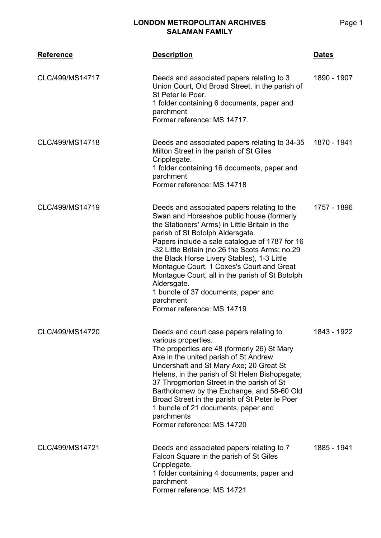| <b>Reference</b> | <b>Description</b>                                                                                                                                                                                                                                                                                                                                                                                                                                                                                                                  | <u>Dates</u> |
|------------------|-------------------------------------------------------------------------------------------------------------------------------------------------------------------------------------------------------------------------------------------------------------------------------------------------------------------------------------------------------------------------------------------------------------------------------------------------------------------------------------------------------------------------------------|--------------|
| CLC/499/MS14717  | Deeds and associated papers relating to 3<br>Union Court, Old Broad Street, in the parish of<br>St Peter le Poer.<br>1 folder containing 6 documents, paper and<br>parchment<br>Former reference: MS 14717.                                                                                                                                                                                                                                                                                                                         | 1890 - 1907  |
| CLC/499/MS14718  | Deeds and associated papers relating to 34-35<br>Milton Street in the parish of St Giles<br>Cripplegate.<br>1 folder containing 16 documents, paper and<br>parchment<br>Former reference: MS 14718                                                                                                                                                                                                                                                                                                                                  | 1870 - 1941  |
| CLC/499/MS14719  | Deeds and associated papers relating to the<br>Swan and Horseshoe public house (formerly<br>the Stationers' Arms) in Little Britain in the<br>parish of St Botolph Aldersgate.<br>Papers include a sale catalogue of 1787 for 16<br>-32 Little Britain (no.26 the Scots Arms; no.29<br>the Black Horse Livery Stables), 1-3 Little<br>Montague Court, 1 Coxes's Court and Great<br>Montague Court, all in the parish of St Botolph<br>Aldersgate.<br>1 bundle of 37 documents, paper and<br>parchment<br>Former reference: MS 14719 | 1757 - 1896  |
| CLC/499/MS14720  | Deeds and court case papers relating to<br>various properties.<br>The properties are 48 (formerly 26) St Mary<br>Axe in the united parish of St Andrew<br>Undershaft and St Mary Axe; 20 Great St<br>Helens, in the parish of St Helen Bishopsgate;<br>37 Throgmorton Street in the parish of St<br>Bartholomew by the Exchange, and 58-60 Old<br>Broad Street in the parish of St Peter le Poer<br>1 bundle of 21 documents, paper and<br>parchments<br>Former reference: MS 14720                                                 | 1843 - 1922  |
| CLC/499/MS14721  | Deeds and associated papers relating to 7<br>Falcon Square in the parish of St Giles<br>Cripplegate.<br>1 folder containing 4 documents, paper and<br>parchment<br>Former reference: MS 14721                                                                                                                                                                                                                                                                                                                                       | 1885 - 1941  |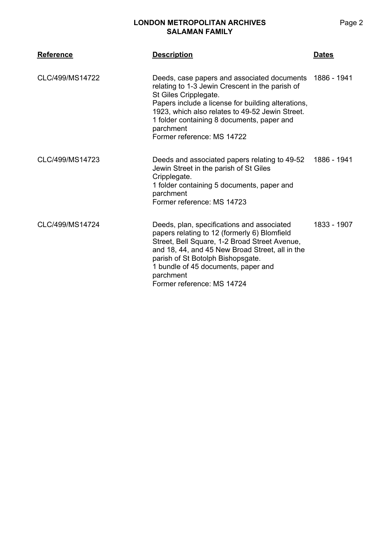| <b>Reference</b> | <b>Description</b>                                                                                                                                                                                                                                                                                                                    | <b>Dates</b> |
|------------------|---------------------------------------------------------------------------------------------------------------------------------------------------------------------------------------------------------------------------------------------------------------------------------------------------------------------------------------|--------------|
| CLC/499/MS14722  | Deeds, case papers and associated documents 1886 - 1941<br>relating to 1-3 Jewin Crescent in the parish of<br>St Giles Cripplegate.<br>Papers include a license for building alterations,<br>1923, which also relates to 49-52 Jewin Street.<br>1 folder containing 8 documents, paper and<br>parchment<br>Former reference: MS 14722 |              |
| CLC/499/MS14723  | Deeds and associated papers relating to 49-52<br>Jewin Street in the parish of St Giles<br>Cripplegate.<br>1 folder containing 5 documents, paper and<br>parchment<br>Former reference: MS 14723                                                                                                                                      | 1886 - 1941  |
| CLC/499/MS14724  | Deeds, plan, specifications and associated<br>papers relating to 12 (formerly 6) Blomfield<br>Street, Bell Square, 1-2 Broad Street Avenue,<br>and 18, 44, and 45 New Broad Street, all in the<br>parish of St Botolph Bishopsgate.<br>1 bundle of 45 documents, paper and<br>parchment<br>Former reference: MS 14724                 | 1833 - 1907  |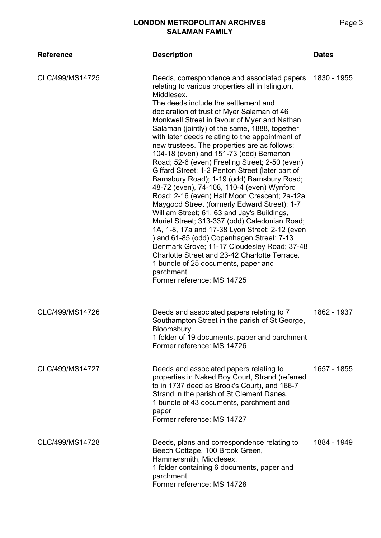| <b>Reference</b> | <b>Description</b>                                                                                                                                                                                                                                                                                                                                                                                                                                                                                                                                                                                                                                                                                                                                                                                                                                                                                                                                                                                                                                                                                                                     | <b>Dates</b> |
|------------------|----------------------------------------------------------------------------------------------------------------------------------------------------------------------------------------------------------------------------------------------------------------------------------------------------------------------------------------------------------------------------------------------------------------------------------------------------------------------------------------------------------------------------------------------------------------------------------------------------------------------------------------------------------------------------------------------------------------------------------------------------------------------------------------------------------------------------------------------------------------------------------------------------------------------------------------------------------------------------------------------------------------------------------------------------------------------------------------------------------------------------------------|--------------|
| CLC/499/MS14725  | Deeds, correspondence and associated papers<br>relating to various properties all in Islington,<br>Middlesex.<br>The deeds include the settlement and<br>declaration of trust of Myer Salaman of 46<br>Monkwell Street in favour of Myer and Nathan<br>Salaman (jointly) of the same, 1888, together<br>with later deeds relating to the appointment of<br>new trustees. The properties are as follows:<br>104-18 (even) and 151-73 (odd) Bemerton<br>Road; 52-6 (even) Freeling Street; 2-50 (even)<br>Giffard Street; 1-2 Penton Street (later part of<br>Barnsbury Road); 1-19 (odd) Barnsbury Road;<br>48-72 (even), 74-108, 110-4 (even) Wynford<br>Road; 2-16 (even) Half Moon Crescent; 2a-12a<br>Maygood Street (formerly Edward Street); 1-7<br>William Street; 61, 63 and Jay's Buildings,<br>Muriel Street; 313-337 (odd) Caledonian Road;<br>1A, 1-8, 17a and 17-38 Lyon Street; 2-12 (even<br>) and 61-85 (odd) Copenhagen Street; 7-13<br>Denmark Grove; 11-17 Cloudesley Road; 37-48<br>Charlotte Street and 23-42 Charlotte Terrace.<br>1 bundle of 25 documents, paper and<br>parchment<br>Former reference: MS 14725 | 1830 - 1955  |
| CLC/499/MS14726  | Deeds and associated papers relating to 7<br>Southampton Street in the parish of St George,<br>Bloomsbury.<br>1 folder of 19 documents, paper and parchment<br>Former reference: MS 14726                                                                                                                                                                                                                                                                                                                                                                                                                                                                                                                                                                                                                                                                                                                                                                                                                                                                                                                                              | 1862 - 1937  |
| CLC/499/MS14727  | Deeds and associated papers relating to<br>properties in Naked Boy Court, Strand (referred<br>to in 1737 deed as Brook's Court), and 166-7<br>Strand in the parish of St Clement Danes.<br>1 bundle of 43 documents, parchment and<br>paper<br>Former reference: MS 14727                                                                                                                                                                                                                                                                                                                                                                                                                                                                                                                                                                                                                                                                                                                                                                                                                                                              | 1657 - 1855  |
| CLC/499/MS14728  | Deeds, plans and correspondence relating to<br>Beech Cottage, 100 Brook Green,<br>Hammersmith, Middlesex.<br>1 folder containing 6 documents, paper and<br>parchment<br>Former reference: MS 14728                                                                                                                                                                                                                                                                                                                                                                                                                                                                                                                                                                                                                                                                                                                                                                                                                                                                                                                                     | 1884 - 1949  |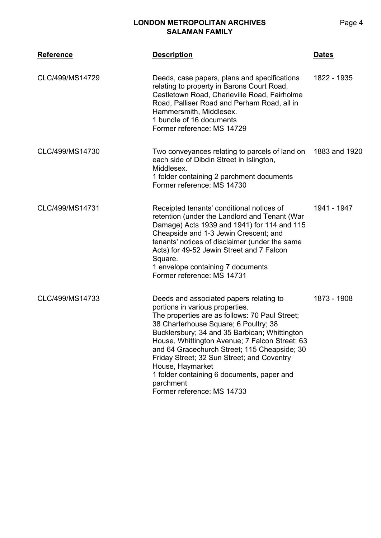| <b>Reference</b> | <b>Description</b>                                                                                                                                                                                                                                                                                                                                                                                                                                                                  | <b>Dates</b>  |
|------------------|-------------------------------------------------------------------------------------------------------------------------------------------------------------------------------------------------------------------------------------------------------------------------------------------------------------------------------------------------------------------------------------------------------------------------------------------------------------------------------------|---------------|
| CLC/499/MS14729  | Deeds, case papers, plans and specifications<br>relating to property in Barons Court Road,<br>Castletown Road, Charleville Road, Fairholme<br>Road, Palliser Road and Perham Road, all in<br>Hammersmith, Middlesex.<br>1 bundle of 16 documents<br>Former reference: MS 14729                                                                                                                                                                                                      | 1822 - 1935   |
| CLC/499/MS14730  | Two conveyances relating to parcels of land on<br>each side of Dibdin Street in Islington,<br>Middlesex.<br>1 folder containing 2 parchment documents<br>Former reference: MS 14730                                                                                                                                                                                                                                                                                                 | 1883 and 1920 |
| CLC/499/MS14731  | Receipted tenants' conditional notices of<br>retention (under the Landlord and Tenant (War<br>Damage) Acts 1939 and 1941) for 114 and 115<br>Cheapside and 1-3 Jewin Crescent; and<br>tenants' notices of disclaimer (under the same<br>Acts) for 49-52 Jewin Street and 7 Falcon<br>Square.<br>1 envelope containing 7 documents<br>Former reference: MS 14731                                                                                                                     | 1941 - 1947   |
| CLC/499/MS14733  | Deeds and associated papers relating to<br>portions in various properties.<br>The properties are as follows: 70 Paul Street;<br>38 Charterhouse Square; 6 Poultry; 38<br>Bucklersbury; 34 and 35 Barbican; Whittington<br>House, Whittington Avenue; 7 Falcon Street; 63<br>and 64 Gracechurch Street; 115 Cheapside; 30<br>Friday Street; 32 Sun Street; and Coventry<br>House, Haymarket<br>1 folder containing 6 documents, paper and<br>parchment<br>Former reference: MS 14733 | 1873 - 1908   |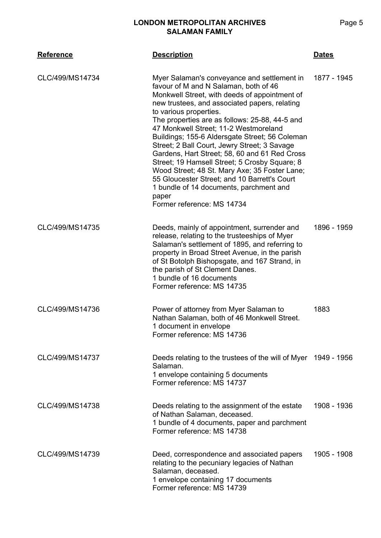| <b>Reference</b> | <b>Description</b>                                                                                                                                                                                                                                                                                                                                                                                                                                                                                                                                                                                                                                                                                 | <b>Dates</b> |
|------------------|----------------------------------------------------------------------------------------------------------------------------------------------------------------------------------------------------------------------------------------------------------------------------------------------------------------------------------------------------------------------------------------------------------------------------------------------------------------------------------------------------------------------------------------------------------------------------------------------------------------------------------------------------------------------------------------------------|--------------|
| CLC/499/MS14734  | Myer Salaman's conveyance and settlement in<br>favour of M and N Salaman, both of 46<br>Monkwell Street, with deeds of appointment of<br>new trustees, and associated papers, relating<br>to various properties.<br>The properties are as follows: 25-88, 44-5 and<br>47 Monkwell Street; 11-2 Westmoreland<br>Buildings; 155-6 Aldersgate Street; 56 Coleman<br>Street; 2 Ball Court, Jewry Street; 3 Savage<br>Gardens, Hart Street; 58, 60 and 61 Red Cross<br>Street; 19 Hamsell Street; 5 Crosby Square; 8<br>Wood Street; 48 St. Mary Axe; 35 Foster Lane;<br>55 Gloucester Street; and 10 Barrett's Court<br>1 bundle of 14 documents, parchment and<br>paper<br>Former reference: MS 14734 | 1877 - 1945  |
| CLC/499/MS14735  | Deeds, mainly of appointment, surrender and<br>release, relating to the trusteeships of Myer<br>Salaman's settlement of 1895, and referring to<br>property in Broad Street Avenue, in the parish<br>of St Botolph Bishopsgate, and 167 Strand, in<br>the parish of St Clement Danes.<br>1 bundle of 16 documents<br>Former reference: MS 14735                                                                                                                                                                                                                                                                                                                                                     | 1896 - 1959  |
| CLC/499/MS14736  | Power of attorney from Myer Salaman to<br>Nathan Salaman, both of 46 Monkwell Street.<br>1 document in envelope<br>Former reference: MS 14736                                                                                                                                                                                                                                                                                                                                                                                                                                                                                                                                                      | 1883         |
| CLC/499/MS14737  | Deeds relating to the trustees of the will of Myer 1949 - 1956<br>Salaman.<br>1 envelope containing 5 documents<br>Former reference: MS 14737                                                                                                                                                                                                                                                                                                                                                                                                                                                                                                                                                      |              |
| CLC/499/MS14738  | Deeds relating to the assignment of the estate<br>of Nathan Salaman, deceased.<br>1 bundle of 4 documents, paper and parchment<br>Former reference: MS 14738                                                                                                                                                                                                                                                                                                                                                                                                                                                                                                                                       | 1908 - 1936  |
| CLC/499/MS14739  | Deed, correspondence and associated papers<br>relating to the pecuniary legacies of Nathan<br>Salaman, deceased.<br>1 envelope containing 17 documents<br>Former reference: MS 14739                                                                                                                                                                                                                                                                                                                                                                                                                                                                                                               | 1905 - 1908  |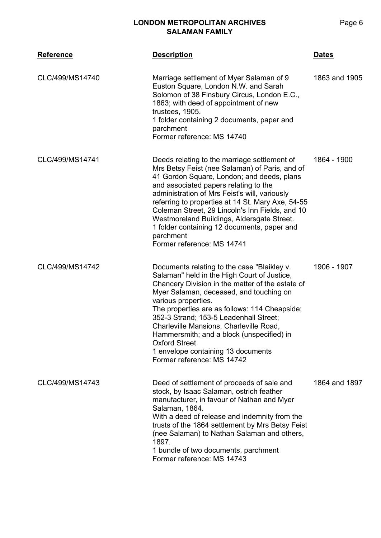| <b>Reference</b> | <b>Description</b>                                                                                                                                                                                                                                                                                                                                                                                                                                                                              | <b>Dates</b>  |
|------------------|-------------------------------------------------------------------------------------------------------------------------------------------------------------------------------------------------------------------------------------------------------------------------------------------------------------------------------------------------------------------------------------------------------------------------------------------------------------------------------------------------|---------------|
| CLC/499/MS14740  | Marriage settlement of Myer Salaman of 9<br>Euston Square, London N.W. and Sarah<br>Solomon of 38 Finsbury Circus, London E.C.,<br>1863; with deed of appointment of new<br>trustees, 1905.<br>1 folder containing 2 documents, paper and<br>parchment<br>Former reference: MS 14740                                                                                                                                                                                                            | 1863 and 1905 |
| CLC/499/MS14741  | Deeds relating to the marriage settlement of<br>Mrs Betsy Feist (nee Salaman) of Paris, and of<br>41 Gordon Square, London; and deeds, plans<br>and associated papers relating to the<br>administration of Mrs Feist's will, variously<br>referring to properties at 14 St. Mary Axe, 54-55<br>Coleman Street, 29 Lincoln's Inn Fields, and 10<br>Westmoreland Buildings, Aldersgate Street.<br>1 folder containing 12 documents, paper and<br>parchment<br>Former reference: MS 14741          | 1864 - 1900   |
| CLC/499/MS14742  | Documents relating to the case "Blaikley v.<br>Salaman" held in the High Court of Justice,<br>Chancery Division in the matter of the estate of<br>Myer Salaman, deceased, and touching on<br>various properties.<br>The properties are as follows: 114 Cheapside;<br>352-3 Strand; 153-5 Leadenhall Street;<br>Charleville Mansions, Charleville Road,<br>Hammersmith; and a block (unspecified) in<br><b>Oxford Street</b><br>1 envelope containing 13 documents<br>Former reference: MS 14742 | 1906 - 1907   |
| CLC/499/MS14743  | Deed of settlement of proceeds of sale and<br>stock, by Isaac Salaman, ostrich feather<br>manufacturer, in favour of Nathan and Myer<br>Salaman, 1864.<br>With a deed of release and indemnity from the<br>trusts of the 1864 settlement by Mrs Betsy Feist<br>(nee Salaman) to Nathan Salaman and others,<br>1897.<br>1 bundle of two documents, parchment<br>Former reference: MS 14743                                                                                                       | 1864 and 1897 |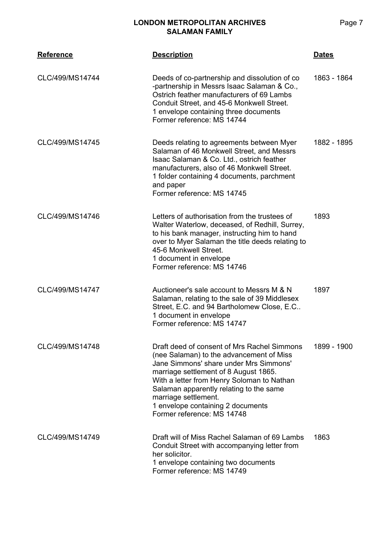| <b>Reference</b> | <b>Description</b>                                                                                                                                                                                                                                                                                                                                             | <b>Dates</b> |
|------------------|----------------------------------------------------------------------------------------------------------------------------------------------------------------------------------------------------------------------------------------------------------------------------------------------------------------------------------------------------------------|--------------|
| CLC/499/MS14744  | Deeds of co-partnership and dissolution of co.<br>-partnership in Messrs Isaac Salaman & Co.,<br>Ostrich feather manufacturers of 69 Lambs<br>Conduit Street, and 45-6 Monkwell Street.<br>1 envelope containing three documents<br>Former reference: MS 14744                                                                                                 | 1863 - 1864  |
| CLC/499/MS14745  | Deeds relating to agreements between Myer<br>Salaman of 46 Monkwell Street, and Messrs<br>Isaac Salaman & Co. Ltd., ostrich feather<br>manufacturers, also of 46 Monkwell Street.<br>1 folder containing 4 documents, parchment<br>and paper<br>Former reference: MS 14745                                                                                     | 1882 - 1895  |
| CLC/499/MS14746  | Letters of authorisation from the trustees of<br>Walter Waterlow, deceased, of Redhill, Surrey,<br>to his bank manager, instructing him to hand<br>over to Myer Salaman the title deeds relating to<br>45-6 Monkwell Street.<br>1 document in envelope<br>Former reference: MS 14746                                                                           | 1893         |
| CLC/499/MS14747  | Auctioneer's sale account to Messrs M & N<br>Salaman, relating to the sale of 39 Middlesex<br>Street, E.C. and 94 Bartholomew Close, E.C<br>1 document in envelope<br>Former reference: MS 14747                                                                                                                                                               | 1897         |
| CLC/499/MS14748  | Draft deed of consent of Mrs Rachel Simmons<br>(nee Salaman) to the advancement of Miss<br>Jane Simmons' share under Mrs Simmons'<br>marriage settlement of 8 August 1865.<br>With a letter from Henry Soloman to Nathan<br>Salaman apparently relating to the same<br>marriage settlement.<br>1 envelope containing 2 documents<br>Former reference: MS 14748 | 1899 - 1900  |
| CLC/499/MS14749  | Draft will of Miss Rachel Salaman of 69 Lambs<br>Conduit Street with accompanying letter from<br>her solicitor.<br>1 envelope containing two documents<br>Former reference: MS 14749                                                                                                                                                                           | 1863         |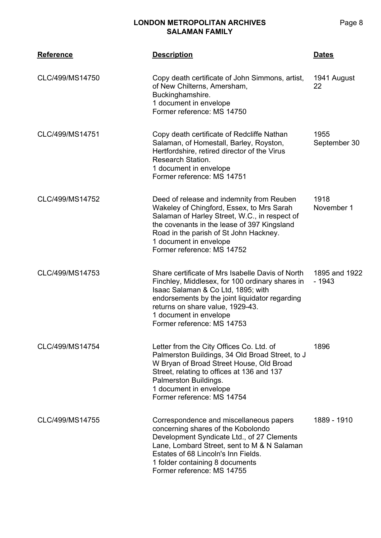| <b>Reference</b> | <b>Description</b>                                                                                                                                                                                                                                                                       | <b>Dates</b>             |
|------------------|------------------------------------------------------------------------------------------------------------------------------------------------------------------------------------------------------------------------------------------------------------------------------------------|--------------------------|
| CLC/499/MS14750  | Copy death certificate of John Simmons, artist,<br>of New Chilterns, Amersham,<br>Buckinghamshire.<br>1 document in envelope<br>Former reference: MS 14750                                                                                                                               | 1941 August<br>22        |
| CLC/499/MS14751  | Copy death certificate of Redcliffe Nathan<br>Salaman, of Homestall, Barley, Royston,<br>Hertfordshire, retired director of the Virus<br>Research Station.<br>1 document in envelope<br>Former reference: MS 14751                                                                       | 1955<br>September 30     |
| CLC/499/MS14752  | Deed of release and indemnity from Reuben<br>Wakeley of Chingford, Essex, to Mrs Sarah<br>Salaman of Harley Street, W.C., in respect of<br>the covenants in the lease of 397 Kingsland<br>Road in the parish of St John Hackney.<br>1 document in envelope<br>Former reference: MS 14752 | 1918<br>November 1       |
| CLC/499/MS14753  | Share certificate of Mrs Isabelle Davis of North<br>Finchley, Middlesex, for 100 ordinary shares in<br>Isaac Salaman & Co Ltd, 1895; with<br>endorsements by the joint liquidator regarding<br>returns on share value, 1929-43.<br>1 document in envelope<br>Former reference: MS 14753  | 1895 and 1922<br>$-1943$ |
| CLC/499/MS14754  | Letter from the City Offices Co. Ltd. of<br>Palmerston Buildings, 34 Old Broad Street, to J<br>W Bryan of Broad Street House, Old Broad<br>Street, relating to offices at 136 and 137<br>Palmerston Buildings.<br>1 document in envelope<br>Former reference: MS 14754                   | 1896                     |
| CLC/499/MS14755  | Correspondence and miscellaneous papers<br>concerning shares of the Kobolondo<br>Development Syndicate Ltd., of 27 Clements<br>Lane, Lombard Street, sent to M & N Salaman<br>Estates of 68 Lincoln's Inn Fields.<br>1 folder containing 8 documents<br>Former reference: MS 14755       | 1889 - 1910              |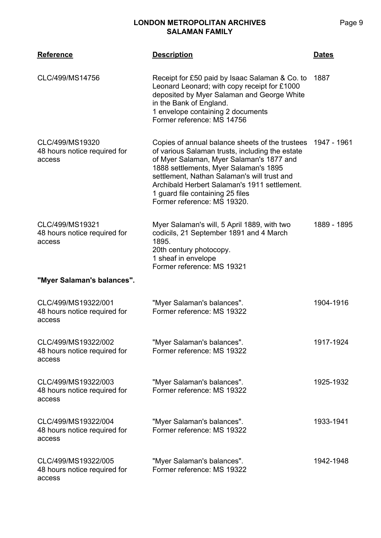| <b>Reference</b>                                              | <b>Description</b>                                                                                                                                                                                                                                                                                                                                        | <b>Dates</b> |
|---------------------------------------------------------------|-----------------------------------------------------------------------------------------------------------------------------------------------------------------------------------------------------------------------------------------------------------------------------------------------------------------------------------------------------------|--------------|
| CLC/499/MS14756                                               | Receipt for £50 paid by Isaac Salaman & Co. to<br>Leonard Leonard; with copy receipt for £1000<br>deposited by Myer Salaman and George White<br>in the Bank of England.<br>1 envelope containing 2 documents<br>Former reference: MS 14756                                                                                                                | 1887         |
| CLC/499/MS19320<br>48 hours notice required for<br>access     | Copies of annual balance sheets of the trustees<br>of various Salaman trusts, including the estate<br>of Myer Salaman, Myer Salaman's 1877 and<br>1888 settlements, Myer Salaman's 1895<br>settlement, Nathan Salaman's will trust and<br>Archibald Herbert Salaman's 1911 settlement.<br>1 guard file containing 25 files<br>Former reference: MS 19320. | 1947 - 1961  |
| CLC/499/MS19321<br>48 hours notice required for<br>access     | Myer Salaman's will, 5 April 1889, with two<br>codicils, 21 September 1891 and 4 March<br>1895.<br>20th century photocopy.<br>1 sheaf in envelope<br>Former reference: MS 19321                                                                                                                                                                           | 1889 - 1895  |
| "Myer Salaman's balances".                                    |                                                                                                                                                                                                                                                                                                                                                           |              |
| CLC/499/MS19322/001<br>48 hours notice required for<br>access | "Myer Salaman's balances".<br>Former reference: MS 19322                                                                                                                                                                                                                                                                                                  | 1904-1916    |
| CLC/499/MS19322/002<br>48 hours notice required for<br>access | "Myer Salaman's balances".<br>Former reference: MS 19322                                                                                                                                                                                                                                                                                                  | 1917-1924    |
| CLC/499/MS19322/003<br>48 hours notice required for<br>access | "Myer Salaman's balances".<br>Former reference: MS 19322                                                                                                                                                                                                                                                                                                  | 1925-1932    |
| CLC/499/MS19322/004<br>48 hours notice required for<br>access | "Myer Salaman's balances".<br>Former reference: MS 19322                                                                                                                                                                                                                                                                                                  | 1933-1941    |
| CLC/499/MS19322/005<br>48 hours notice required for<br>access | "Myer Salaman's balances".<br>Former reference: MS 19322                                                                                                                                                                                                                                                                                                  | 1942-1948    |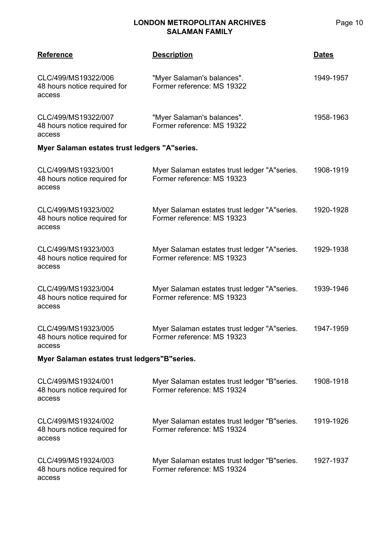| <b>Reference</b>                                              | <b>Description</b>                                                          | <b>Dates</b> |  |
|---------------------------------------------------------------|-----------------------------------------------------------------------------|--------------|--|
| CLC/499/MS19322/006<br>48 hours notice required for<br>access | "Myer Salaman's balances".<br>Former reference: MS 19322                    | 1949-1957    |  |
| CLC/499/MS19322/007<br>48 hours notice required for<br>access | "Myer Salaman's balances".<br>Former reference: MS 19322                    | 1958-1963    |  |
| Myer Salaman estates trust ledgers "A"series.                 |                                                                             |              |  |
| CLC/499/MS19323/001<br>48 hours notice required for<br>access | Myer Salaman estates trust ledger "A"series.<br>Former reference: MS 19323  | 1908-1919    |  |
| CLC/499/MS19323/002<br>48 hours notice required for<br>access | Myer Salaman estates trust ledger "A"series.<br>Former reference: MS 19323  | 1920-1928    |  |
| CLC/499/MS19323/003<br>48 hours notice required for<br>access | Myer Salaman estates trust ledger "A"series.<br>Former reference: MS 19323  | 1929-1938    |  |
| CLC/499/MS19323/004<br>48 hours notice required for<br>access | Myer Salaman estates trust ledger "A"series.<br>Former reference: MS 19323  | 1939-1946    |  |
| CLC/499/MS19323/005<br>48 hours notice required for<br>access | Myer Salaman estates trust ledger "A"series.<br>Former reference: MS 19323  | 1947-1959    |  |
| Myer Salaman estates trust ledgers"B"series.                  |                                                                             |              |  |
| CLC/499/MS19324/001<br>48 hours notice required for<br>access | Myer Salaman estates trust ledger "B" series.<br>Former reference: MS 19324 | 1908-1918    |  |
| CLC/499/MS19324/002<br>48 hours notice required for<br>access | Myer Salaman estates trust ledger "B"series.<br>Former reference: MS 19324  | 1919-1926    |  |
| CLC/499/MS19324/003<br>48 hours notice required for<br>access | Myer Salaman estates trust ledger "B" series.<br>Former reference: MS 19324 | 1927-1937    |  |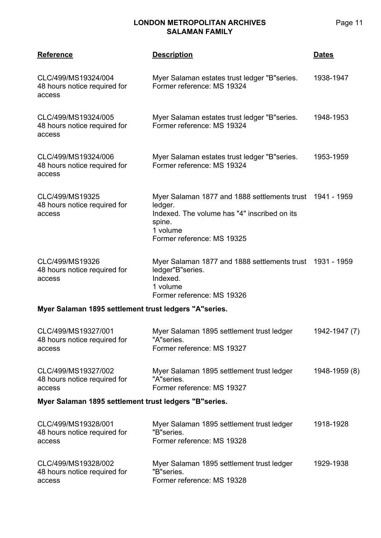| <b>Reference</b>                                              | <b>Description</b>                                                                                                                                                      | <b>Dates</b>  |  |
|---------------------------------------------------------------|-------------------------------------------------------------------------------------------------------------------------------------------------------------------------|---------------|--|
| CLC/499/MS19324/004<br>48 hours notice required for<br>access | Myer Salaman estates trust ledger "B"series.<br>Former reference: MS 19324                                                                                              | 1938-1947     |  |
| CLC/499/MS19324/005<br>48 hours notice required for<br>access | Myer Salaman estates trust ledger "B"series.<br>Former reference: MS 19324                                                                                              | 1948-1953     |  |
| CLC/499/MS19324/006<br>48 hours notice required for<br>access | Myer Salaman estates trust ledger "B"series.<br>Former reference: MS 19324                                                                                              | 1953-1959     |  |
| CLC/499/MS19325<br>48 hours notice required for<br>access     | Myer Salaman 1877 and 1888 settlements trust 1941 - 1959<br>ledger.<br>Indexed. The volume has "4" inscribed on its<br>spine.<br>1 volume<br>Former reference: MS 19325 |               |  |
| CLC/499/MS19326<br>48 hours notice required for<br>access     | Myer Salaman 1877 and 1888 settlements trust 1931 - 1959<br>ledger"B"series.<br>Indexed.<br>1 volume<br>Former reference: MS 19326                                      |               |  |
| Myer Salaman 1895 settlement trust ledgers "A"series.         |                                                                                                                                                                         |               |  |
| CLC/499/MS19327/001<br>48 hours notice required for<br>access | Myer Salaman 1895 settlement trust ledger<br>"A"series.<br>Former reference: MS 19327                                                                                   | 1942-1947 (7) |  |
| CLC/499/MS19327/002<br>48 hours notice required for<br>access | Myer Salaman 1895 settlement trust ledger<br>"A"series.<br>Former reference: MS 19327                                                                                   | 1948-1959 (8) |  |
| Myer Salaman 1895 settlement trust ledgers "B"series.         |                                                                                                                                                                         |               |  |
| CLC/499/MS19328/001<br>48 hours notice required for<br>access | Myer Salaman 1895 settlement trust ledger<br>"B"series.<br>Former reference: MS 19328                                                                                   | 1918-1928     |  |
| CLC/499/MS19328/002<br>48 hours notice required for<br>access | Myer Salaman 1895 settlement trust ledger<br>"B"series.<br>Former reference: MS 19328                                                                                   | 1929-1938     |  |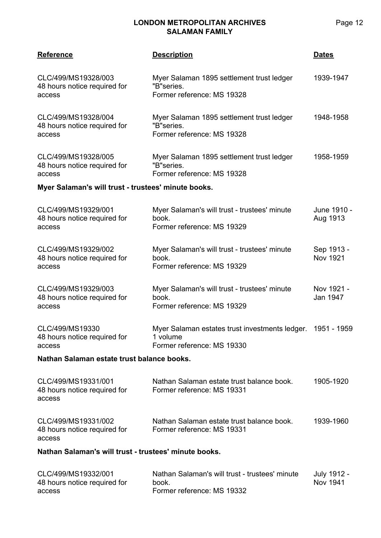| <b>Reference</b>                                              | <b>Description</b>                                                                                   | <b>Dates</b>                  |
|---------------------------------------------------------------|------------------------------------------------------------------------------------------------------|-------------------------------|
| CLC/499/MS19328/003<br>48 hours notice required for<br>access | Myer Salaman 1895 settlement trust ledger<br>"B"series.<br>Former reference: MS 19328                | 1939-1947                     |
| CLC/499/MS19328/004<br>48 hours notice required for<br>access | Myer Salaman 1895 settlement trust ledger<br>"B"series.<br>Former reference: MS 19328                | 1948-1958                     |
| CLC/499/MS19328/005<br>48 hours notice required for<br>access | Myer Salaman 1895 settlement trust ledger<br>"B"series.<br>Former reference: MS 19328                | 1958-1959                     |
| Myer Salaman's will trust - trustees' minute books.           |                                                                                                      |                               |
| CLC/499/MS19329/001<br>48 hours notice required for<br>access | Myer Salaman's will trust - trustees' minute<br>book.<br>Former reference: MS 19329                  | June 1910 -<br>Aug 1913       |
| CLC/499/MS19329/002<br>48 hours notice required for<br>access | Myer Salaman's will trust - trustees' minute<br>book.<br>Former reference: MS 19329                  | Sep 1913 -<br><b>Nov 1921</b> |
| CLC/499/MS19329/003<br>48 hours notice required for<br>access | Myer Salaman's will trust - trustees' minute<br>book.<br>Former reference: MS 19329                  | Nov 1921 -<br>Jan 1947        |
| CLC/499/MS19330<br>48 hours notice required for<br>access     | Myer Salaman estates trust investments ledger. 1951 - 1959<br>1 volume<br>Former reference: MS 19330 |                               |
| Nathan Salaman estate trust balance books.                    |                                                                                                      |                               |
| CLC/499/MS19331/001<br>48 hours notice required for<br>access | Nathan Salaman estate trust balance book.<br>Former reference: MS 19331                              | 1905-1920                     |
| CLC/499/MS19331/002<br>48 hours notice required for<br>access | Nathan Salaman estate trust balance book.<br>Former reference: MS 19331                              | 1939-1960                     |
| Nathan Salaman's will trust - trustees' minute books.         |                                                                                                      |                               |
| CLC/499/MS19332/001<br>48 hours notice required for<br>access | Nathan Salaman's will trust - trustees' minute<br>book.<br>Former reference: MS 19332                | July 1912 -<br>Nov 1941       |

Page 12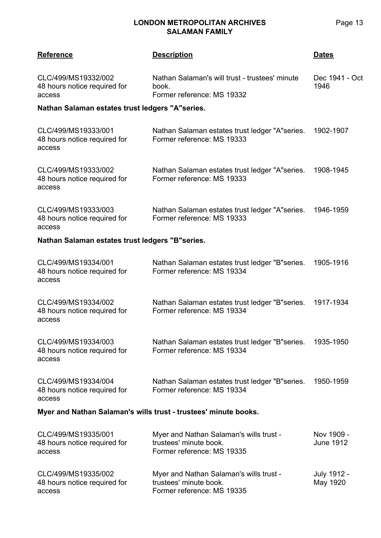| <b>Reference</b>                                                | <b>Description</b>                                                                              | <b>Dates</b>                   |  |
|-----------------------------------------------------------------|-------------------------------------------------------------------------------------------------|--------------------------------|--|
| CLC/499/MS19332/002<br>48 hours notice required for<br>access   | Nathan Salaman's will trust - trustees' minute<br>book.<br>Former reference: MS 19332           | Dec 1941 - Oct<br>1946         |  |
| Nathan Salaman estates trust ledgers "A"series.                 |                                                                                                 |                                |  |
| CLC/499/MS19333/001<br>48 hours notice required for<br>access   | Nathan Salaman estates trust ledger "A"series.<br>Former reference: MS 19333                    | 1902-1907                      |  |
| CLC/499/MS19333/002<br>48 hours notice required for<br>access   | Nathan Salaman estates trust ledger "A"series.<br>Former reference: MS 19333                    | 1908-1945                      |  |
| CLC/499/MS19333/003<br>48 hours notice required for<br>access   | Nathan Salaman estates trust ledger "A" series.<br>Former reference: MS 19333                   | 1946-1959                      |  |
| Nathan Salaman estates trust ledgers "B"series.                 |                                                                                                 |                                |  |
| CLC/499/MS19334/001<br>48 hours notice required for<br>access   | Nathan Salaman estates trust ledger "B" series.<br>Former reference: MS 19334                   | 1905-1916                      |  |
| CLC/499/MS19334/002<br>48 hours notice required for<br>access   | Nathan Salaman estates trust ledger "B" series.<br>Former reference: MS 19334                   | 1917-1934                      |  |
| CLC/499/MS19334/003<br>48 hours notice required for<br>access   | Nathan Salaman estates trust ledger "B" series.<br>Former reference: MS 19334                   | 1935-1950                      |  |
| CLC/499/MS19334/004<br>48 hours notice required for<br>access   | Nathan Salaman estates trust ledger "B" series.<br>Former reference: MS 19334                   | 1950-1959                      |  |
| Myer and Nathan Salaman's wills trust - trustees' minute books. |                                                                                                 |                                |  |
| CLC/499/MS19335/001<br>48 hours notice required for<br>access   | Myer and Nathan Salaman's wills trust -<br>trustees' minute book.<br>Former reference: MS 19335 | Nov 1909 -<br><b>June 1912</b> |  |
| CLC/499/MS19335/002<br>48 hours notice required for<br>access   | Myer and Nathan Salaman's wills trust -<br>trustees' minute book.<br>Former reference: MS 19335 | July 1912 -<br>May 1920        |  |